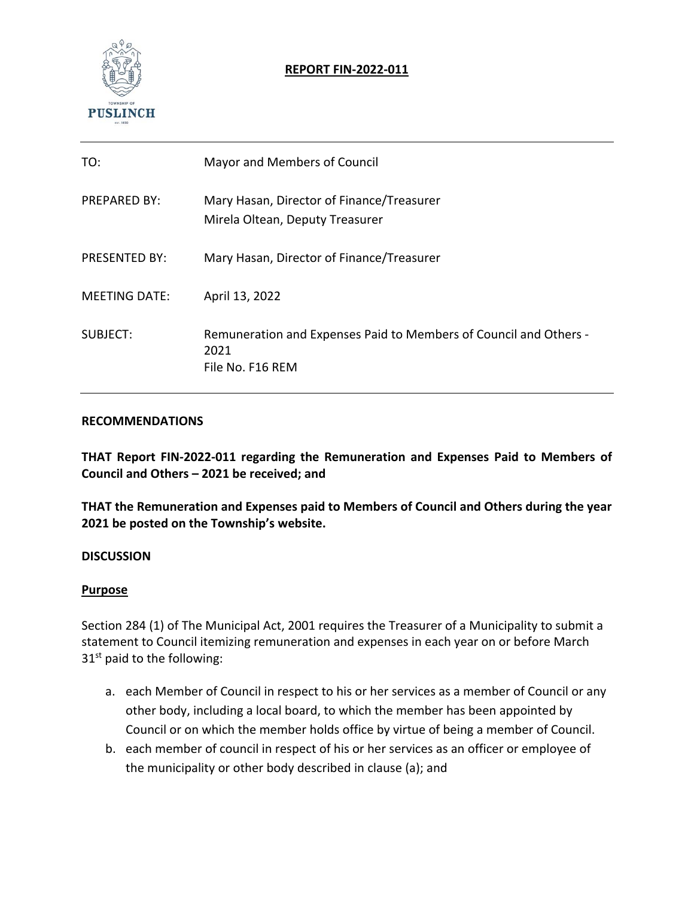

## **REPORT FIN‐2022‐011**

| TO:                  | Mayor and Members of Council                                                                  |
|----------------------|-----------------------------------------------------------------------------------------------|
| <b>PREPARED BY:</b>  | Mary Hasan, Director of Finance/Treasurer<br>Mirela Oltean, Deputy Treasurer                  |
| <b>PRESENTED BY:</b> | Mary Hasan, Director of Finance/Treasurer                                                     |
| <b>MEETING DATE:</b> | April 13, 2022                                                                                |
| SUBJECT:             | Remuneration and Expenses Paid to Members of Council and Others -<br>2021<br>File No. F16 REM |

#### **RECOMMENDATIONS**

**THAT Report FIN‐2022‐011 regarding the Remuneration and Expenses Paid to Members of Council and Others – 2021 be received; and** 

**THAT the Remuneration and Expenses paid to Members of Council and Others during the year 2021 be posted on the Township's website.** 

### **DISCUSSION**

### **Purpose**

Section 284 (1) of The Municipal Act, 2001 requires the Treasurer of a Municipality to submit a statement to Council itemizing remuneration and expenses in each year on or before March  $31<sup>st</sup>$  paid to the following:

- a. each Member of Council in respect to his or her services as a member of Council or any other body, including a local board, to which the member has been appointed by Council or on which the member holds office by virtue of being a member of Council.
- b. each member of council in respect of his or her services as an officer or employee of the municipality or other body described in clause (a); and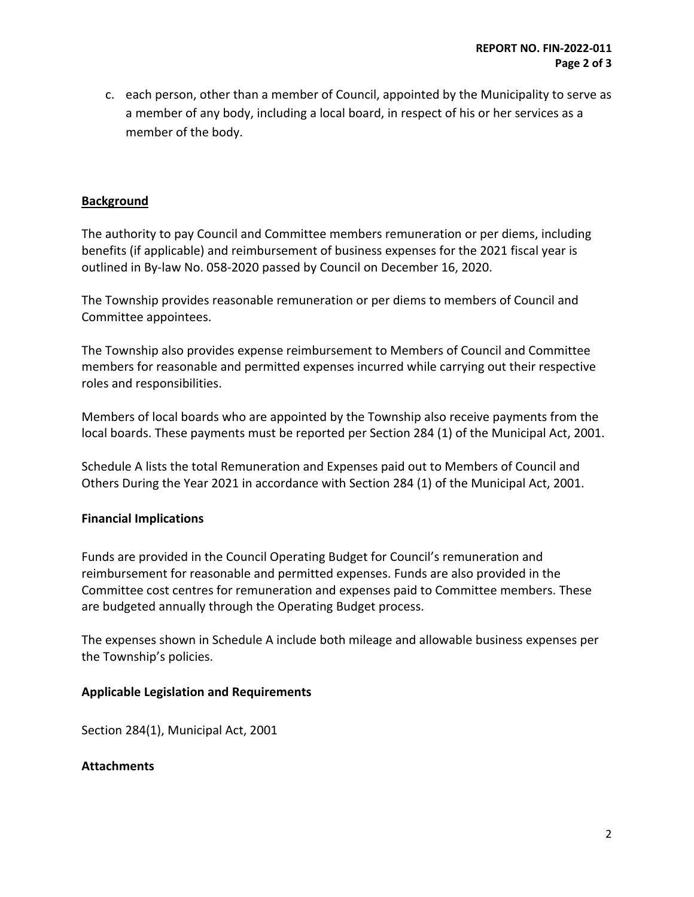c. each person, other than a member of Council, appointed by the Municipality to serve as a member of any body, including a local board, in respect of his or her services as a member of the body.

### **Background**

The authority to pay Council and Committee members remuneration or per diems, including benefits (if applicable) and reimbursement of business expenses for the 2021 fiscal year is outlined in By‐law No. 058‐2020 passed by Council on December 16, 2020.

The Township provides reasonable remuneration or per diems to members of Council and Committee appointees.

The Township also provides expense reimbursement to Members of Council and Committee members for reasonable and permitted expenses incurred while carrying out their respective roles and responsibilities.

Members of local boards who are appointed by the Township also receive payments from the local boards. These payments must be reported per Section 284 (1) of the Municipal Act, 2001.

Schedule A lists the total Remuneration and Expenses paid out to Members of Council and Others During the Year 2021 in accordance with Section 284 (1) of the Municipal Act, 2001.

### **Financial Implications**

Funds are provided in the Council Operating Budget for Council's remuneration and reimbursement for reasonable and permitted expenses. Funds are also provided in the Committee cost centres for remuneration and expenses paid to Committee members. These are budgeted annually through the Operating Budget process.

The expenses shown in Schedule A include both mileage and allowable business expenses per the Township's policies.

### **Applicable Legislation and Requirements**

Section 284(1), Municipal Act, 2001

#### **Attachments**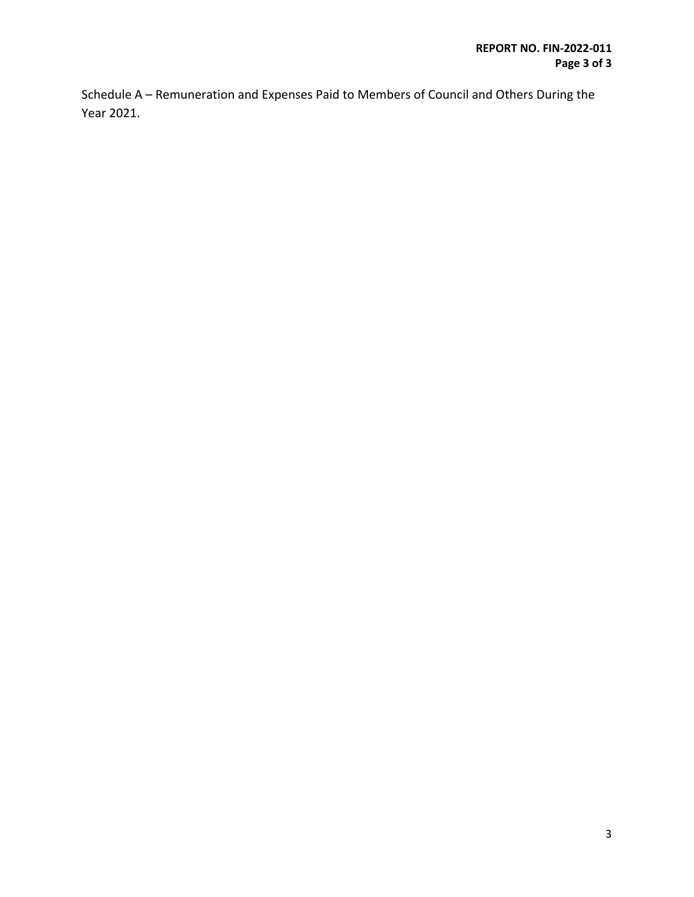Schedule A – Remuneration and Expenses Paid to Members of Council and Others During the Year 2021.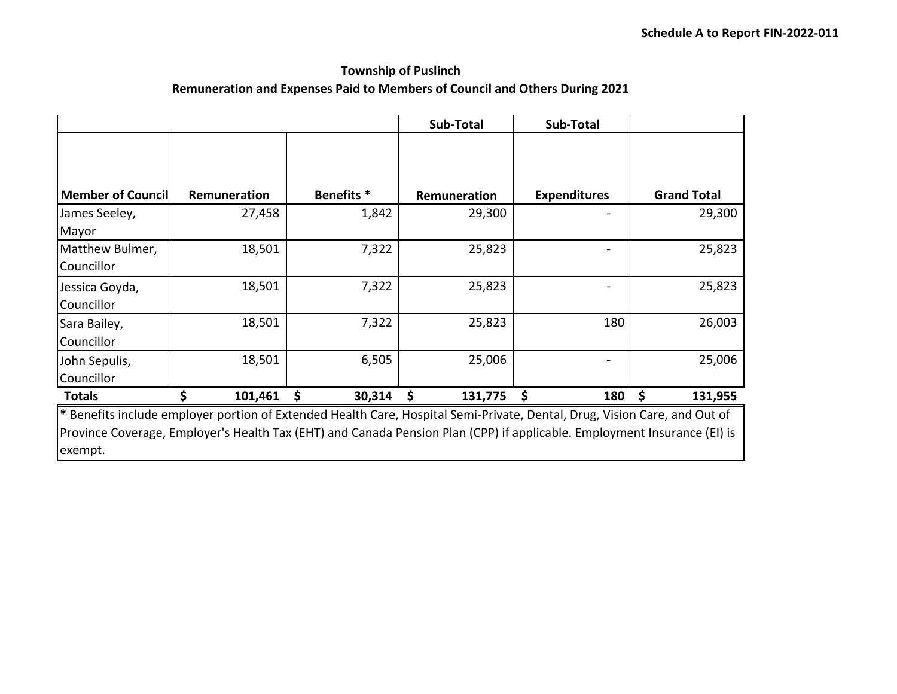# **Township of Puslinch**

## **Remuneration and Expenses Paid to Members of Council and Others During 2021**

|                                                                                                                                                                                                                                                                  |              |                       | Sub-Total     | Sub-Total           |                    |  |  |  |
|------------------------------------------------------------------------------------------------------------------------------------------------------------------------------------------------------------------------------------------------------------------|--------------|-----------------------|---------------|---------------------|--------------------|--|--|--|
|                                                                                                                                                                                                                                                                  |              |                       |               |                     |                    |  |  |  |
| Member of Council                                                                                                                                                                                                                                                | Remuneration | Benefits <sup>*</sup> | Remuneration  | <b>Expenditures</b> | <b>Grand Total</b> |  |  |  |
| James Seeley,<br>Mayor                                                                                                                                                                                                                                           | 27,458       | 1,842                 | 29,300        |                     | 29,300             |  |  |  |
| Matthew Bulmer,<br>Councillor                                                                                                                                                                                                                                    | 18,501       | 7,322                 | 25,823        |                     | 25,823             |  |  |  |
| Jessica Goyda,<br>Councillor                                                                                                                                                                                                                                     | 18,501       | 7,322                 | 25,823        |                     | 25,823             |  |  |  |
| Sara Bailey,<br>Councillor                                                                                                                                                                                                                                       | 18,501       | 7,322                 | 25,823        | 180                 | 26,003             |  |  |  |
| John Sepulis,<br>Councillor                                                                                                                                                                                                                                      | 18,501       | 6,505                 | 25,006        |                     | 25,006             |  |  |  |
| <b>Totals</b>                                                                                                                                                                                                                                                    | 101,461      | \$<br>30,314          | \$<br>131,775 | 180                 | 131,955<br>\$      |  |  |  |
| * Benefits include employer portion of Extended Health Care, Hospital Semi-Private, Dental, Drug, Vision Care, and Out of<br>Province Coverage, Employer's Health Tax (EHT) and Canada Pension Plan (CPP) if applicable. Employment Insurance (EI) is<br>exempt. |              |                       |               |                     |                    |  |  |  |